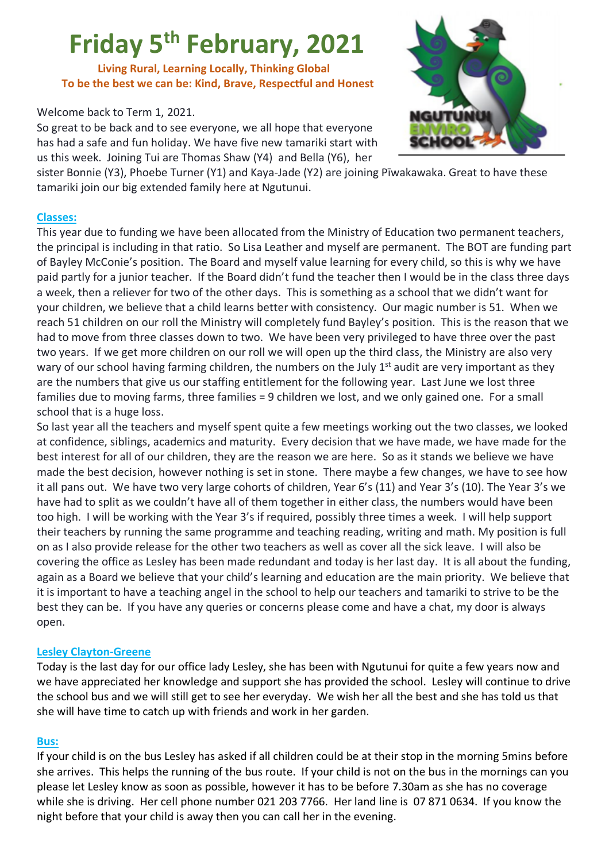# **Friday 5th February, 2021**

 **Living Rural, Learning Locally, Thinking Global To be the best we can be: Kind, Brave, Respectful and Honest**

# Welcome back to Term 1, 2021.

So great to be back and to see everyone, we all hope that everyone has had a safe and fun holiday. We have five new tamariki start with us this week. Joining Tui are Thomas Shaw (Y4) and Bella (Y6), her



sister Bonnie (Y3), Phoebe Turner (Y1) and Kaya-Jade (Y2) are joining Pīwakawaka. Great to have these tamariki join our big extended family here at Ngutunui.

#### **Classes:**

This year due to funding we have been allocated from the Ministry of Education two permanent teachers, the principal is including in that ratio. So Lisa Leather and myself are permanent. The BOT are funding part of Bayley McConie's position. The Board and myself value learning for every child, so this is why we have paid partly for a junior teacher. If the Board didn't fund the teacher then I would be in the class three days a week, then a reliever for two of the other days. This is something as a school that we didn't want for your children, we believe that a child learns better with consistency. Our magic number is 51. When we reach 51 children on our roll the Ministry will completely fund Bayley's position. This is the reason that we had to move from three classes down to two. We have been very privileged to have three over the past two years. If we get more children on our roll we will open up the third class, the Ministry are also very wary of our school having farming children, the numbers on the July 1<sup>st</sup> audit are very important as they are the numbers that give us our staffing entitlement for the following year. Last June we lost three families due to moving farms, three families = 9 children we lost, and we only gained one. For a small school that is a huge loss.

So last year all the teachers and myself spent quite a few meetings working out the two classes, we looked at confidence, siblings, academics and maturity. Every decision that we have made, we have made for the best interest for all of our children, they are the reason we are here. So as it stands we believe we have made the best decision, however nothing is set in stone. There maybe a few changes, we have to see how it all pans out. We have two very large cohorts of children, Year 6's (11) and Year 3's (10). The Year 3's we have had to split as we couldn't have all of them together in either class, the numbers would have been too high. I will be working with the Year 3's if required, possibly three times a week. I will help support their teachers by running the same programme and teaching reading, writing and math. My position is full on as I also provide release for the other two teachers as well as cover all the sick leave. I will also be covering the office as Lesley has been made redundant and today is her last day. It is all about the funding, again as a Board we believe that your child's learning and education are the main priority. We believe that it is important to have a teaching angel in the school to help our teachers and tamariki to strive to be the best they can be. If you have any queries or concerns please come and have a chat, my door is always open.

# **Lesley Clayton-Greene**

Today is the last day for our office lady Lesley, she has been with Ngutunui for quite a few years now and we have appreciated her knowledge and support she has provided the school. Lesley will continue to drive the school bus and we will still get to see her everyday. We wish her all the best and she has told us that she will have time to catch up with friends and work in her garden.

#### **Bus:**

If your child is on the bus Lesley has asked if all children could be at their stop in the morning 5mins before she arrives. This helps the running of the bus route. If your child is not on the bus in the mornings can you please let Lesley know as soon as possible, however it has to be before 7.30am as she has no coverage while she is driving. Her cell phone number 021 203 7766. Her land line is 07 871 0634. If you know the night before that your child is away then you can call her in the evening.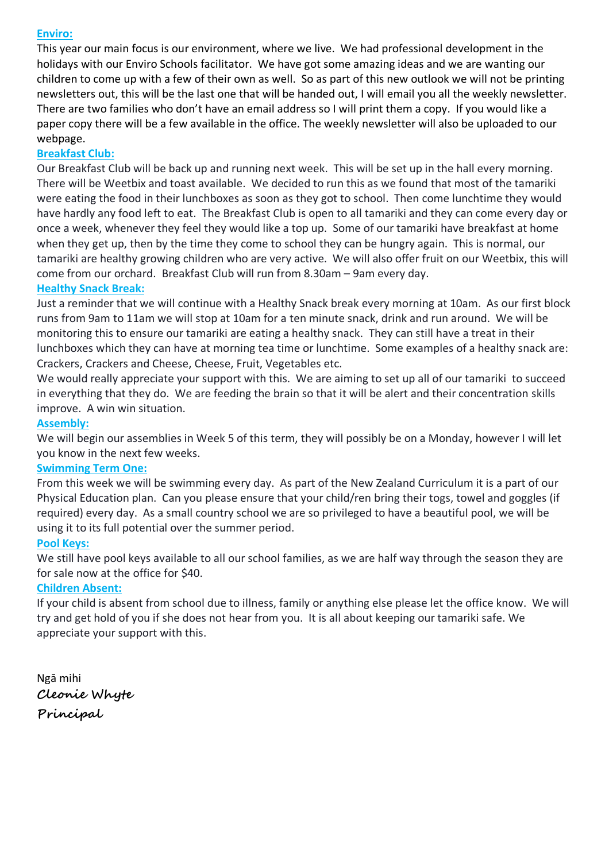# **Enviro:**

This year our main focus is our environment, where we live. We had professional development in the holidays with our Enviro Schools facilitator. We have got some amazing ideas and we are wanting our children to come up with a few of their own as well. So as part of this new outlook we will not be printing newsletters out, this will be the last one that will be handed out, I will email you all the weekly newsletter. There are two families who don't have an email address so I will print them a copy. If you would like a paper copy there will be a few available in the office. The weekly newsletter will also be uploaded to our webpage.

# **Breakfast Club:**

Our Breakfast Club will be back up and running next week. This will be set up in the hall every morning. There will be Weetbix and toast available. We decided to run this as we found that most of the tamariki were eating the food in their lunchboxes as soon as they got to school. Then come lunchtime they would have hardly any food left to eat. The Breakfast Club is open to all tamariki and they can come every day or once a week, whenever they feel they would like a top up. Some of our tamariki have breakfast at home when they get up, then by the time they come to school they can be hungry again. This is normal, our tamariki are healthy growing children who are very active. We will also offer fruit on our Weetbix, this will come from our orchard. Breakfast Club will run from 8.30am – 9am every day.

## **Healthy Snack Break:**

Just a reminder that we will continue with a Healthy Snack break every morning at 10am. As our first block runs from 9am to 11am we will stop at 10am for a ten minute snack, drink and run around. We will be monitoring this to ensure our tamariki are eating a healthy snack. They can still have a treat in their lunchboxes which they can have at morning tea time or lunchtime. Some examples of a healthy snack are: Crackers, Crackers and Cheese, Cheese, Fruit, Vegetables etc.

We would really appreciate your support with this. We are aiming to set up all of our tamariki to succeed in everything that they do. We are feeding the brain so that it will be alert and their concentration skills improve. A win win situation.

#### **Assembly:**

We will begin our assemblies in Week 5 of this term, they will possibly be on a Monday, however I will let you know in the next few weeks.

#### **Swimming Term One:**

From this week we will be swimming every day. As part of the New Zealand Curriculum it is a part of our Physical Education plan. Can you please ensure that your child/ren bring their togs, towel and goggles (if required) every day. As a small country school we are so privileged to have a beautiful pool, we will be using it to its full potential over the summer period.

#### **Pool Keys:**

We still have pool keys available to all our school families, as we are half way through the season they are for sale now at the office for \$40.

# **Children Absent:**

If your child is absent from school due to illness, family or anything else please let the office know. We will try and get hold of you if she does not hear from you. It is all about keeping our tamariki safe. We appreciate your support with this.

Ngā mihi **Cleonie Whyte Principal**